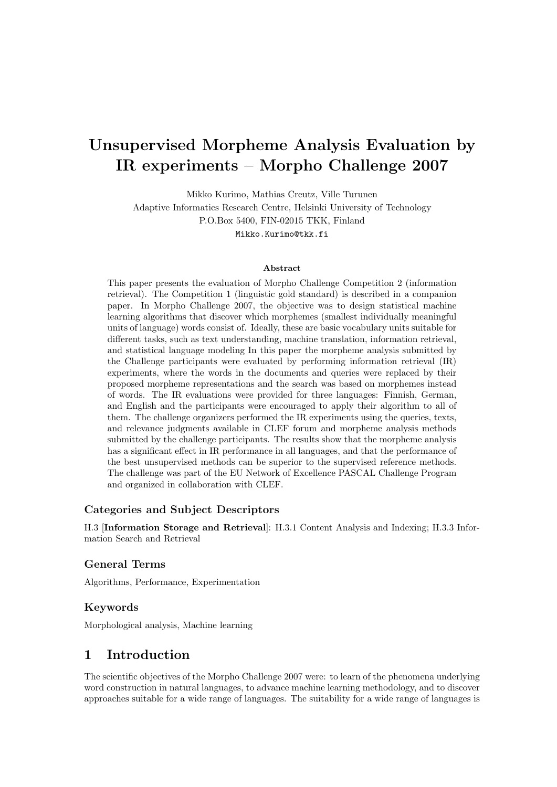# Unsupervised Morpheme Analysis Evaluation by IR experiments – Morpho Challenge 2007

Mikko Kurimo, Mathias Creutz, Ville Turunen Adaptive Informatics Research Centre, Helsinki University of Technology P.O.Box 5400, FIN-02015 TKK, Finland Mikko.Kurimo@tkk.fi

#### Abstract

This paper presents the evaluation of Morpho Challenge Competition 2 (information retrieval). The Competition 1 (linguistic gold standard) is described in a companion paper. In Morpho Challenge 2007, the objective was to design statistical machine learning algorithms that discover which morphemes (smallest individually meaningful units of language) words consist of. Ideally, these are basic vocabulary units suitable for different tasks, such as text understanding, machine translation, information retrieval, and statistical language modeling In this paper the morpheme analysis submitted by the Challenge participants were evaluated by performing information retrieval (IR) experiments, where the words in the documents and queries were replaced by their proposed morpheme representations and the search was based on morphemes instead of words. The IR evaluations were provided for three languages: Finnish, German, and English and the participants were encouraged to apply their algorithm to all of them. The challenge organizers performed the IR experiments using the queries, texts, and relevance judgments available in CLEF forum and morpheme analysis methods submitted by the challenge participants. The results show that the morpheme analysis has a significant effect in IR performance in all languages, and that the performance of the best unsupervised methods can be superior to the supervised reference methods. The challenge was part of the EU Network of Excellence PASCAL Challenge Program and organized in collaboration with CLEF.

### Categories and Subject Descriptors

H.3 [Information Storage and Retrieval]: H.3.1 Content Analysis and Indexing; H.3.3 Information Search and Retrieval

#### General Terms

Algorithms, Performance, Experimentation

#### Keywords

Morphological analysis, Machine learning

### 1 Introduction

The scientific objectives of the Morpho Challenge 2007 were: to learn of the phenomena underlying word construction in natural languages, to advance machine learning methodology, and to discover approaches suitable for a wide range of languages. The suitability for a wide range of languages is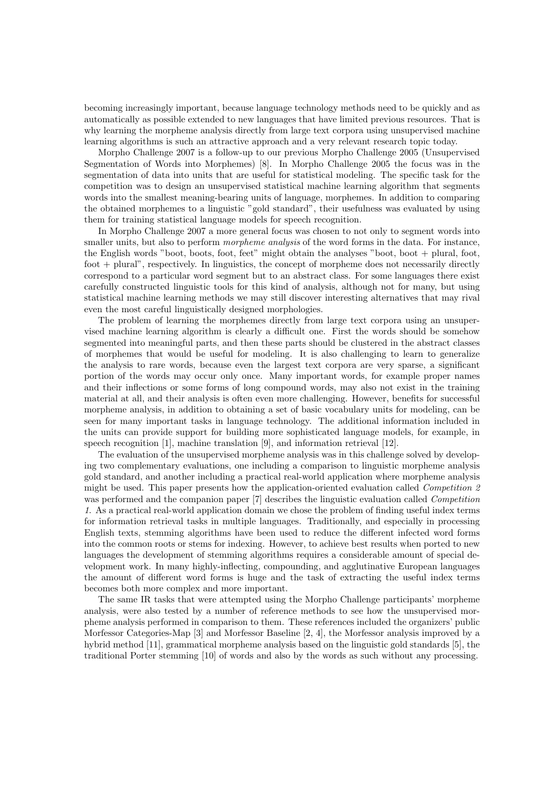becoming increasingly important, because language technology methods need to be quickly and as automatically as possible extended to new languages that have limited previous resources. That is why learning the morpheme analysis directly from large text corpora using unsupervised machine learning algorithms is such an attractive approach and a very relevant research topic today.

Morpho Challenge 2007 is a follow-up to our previous Morpho Challenge 2005 (Unsupervised Segmentation of Words into Morphemes) [8]. In Morpho Challenge 2005 the focus was in the segmentation of data into units that are useful for statistical modeling. The specific task for the competition was to design an unsupervised statistical machine learning algorithm that segments words into the smallest meaning-bearing units of language, morphemes. In addition to comparing the obtained morphemes to a linguistic "gold standard", their usefulness was evaluated by using them for training statistical language models for speech recognition.

In Morpho Challenge 2007 a more general focus was chosen to not only to segment words into smaller units, but also to perform *morpheme analysis* of the word forms in the data. For instance, the English words "boot, boots, foot, feet" might obtain the analyses "boot, boot  $+$  plural, foot, foot + plural", respectively. In linguistics, the concept of morpheme does not necessarily directly correspond to a particular word segment but to an abstract class. For some languages there exist carefully constructed linguistic tools for this kind of analysis, although not for many, but using statistical machine learning methods we may still discover interesting alternatives that may rival even the most careful linguistically designed morphologies.

The problem of learning the morphemes directly from large text corpora using an unsupervised machine learning algorithm is clearly a difficult one. First the words should be somehow segmented into meaningful parts, and then these parts should be clustered in the abstract classes of morphemes that would be useful for modeling. It is also challenging to learn to generalize the analysis to rare words, because even the largest text corpora are very sparse, a significant portion of the words may occur only once. Many important words, for example proper names and their inflections or some forms of long compound words, may also not exist in the training material at all, and their analysis is often even more challenging. However, benefits for successful morpheme analysis, in addition to obtaining a set of basic vocabulary units for modeling, can be seen for many important tasks in language technology. The additional information included in the units can provide support for building more sophisticated language models, for example, in speech recognition [1], machine translation [9], and information retrieval [12].

The evaluation of the unsupervised morpheme analysis was in this challenge solved by developing two complementary evaluations, one including a comparison to linguistic morpheme analysis gold standard, and another including a practical real-world application where morpheme analysis might be used. This paper presents how the application-oriented evaluation called Competition 2 was performed and the companion paper [7] describes the linguistic evaluation called Competition 1. As a practical real-world application domain we chose the problem of finding useful index terms for information retrieval tasks in multiple languages. Traditionally, and especially in processing English texts, stemming algorithms have been used to reduce the different infected word forms into the common roots or stems for indexing. However, to achieve best results when ported to new languages the development of stemming algorithms requires a considerable amount of special development work. In many highly-inflecting, compounding, and agglutinative European languages the amount of different word forms is huge and the task of extracting the useful index terms becomes both more complex and more important.

The same IR tasks that were attempted using the Morpho Challenge participants' morpheme analysis, were also tested by a number of reference methods to see how the unsupervised morpheme analysis performed in comparison to them. These references included the organizers' public Morfessor Categories-Map [3] and Morfessor Baseline [2, 4], the Morfessor analysis improved by a hybrid method [11], grammatical morpheme analysis based on the linguistic gold standards [5], the traditional Porter stemming [10] of words and also by the words as such without any processing.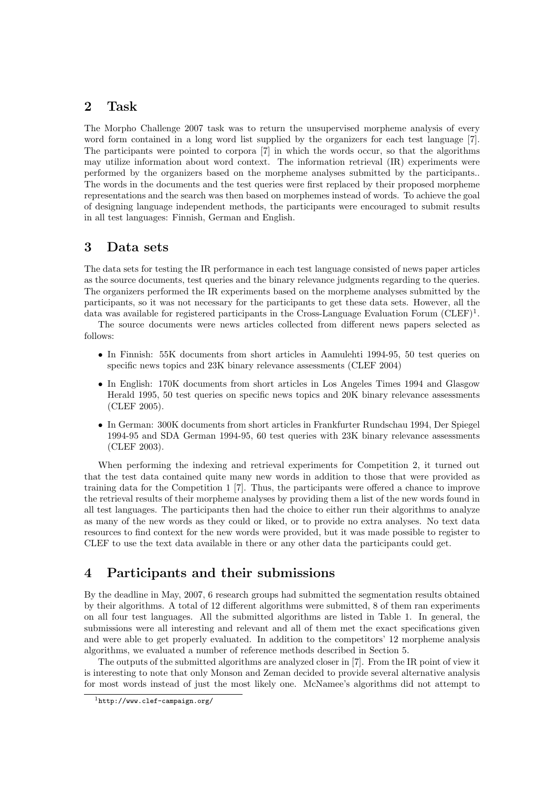# 2 Task

The Morpho Challenge 2007 task was to return the unsupervised morpheme analysis of every word form contained in a long word list supplied by the organizers for each test language [7]. The participants were pointed to corpora [7] in which the words occur, so that the algorithms may utilize information about word context. The information retrieval (IR) experiments were performed by the organizers based on the morpheme analyses submitted by the participants.. The words in the documents and the test queries were first replaced by their proposed morpheme representations and the search was then based on morphemes instead of words. To achieve the goal of designing language independent methods, the participants were encouraged to submit results in all test languages: Finnish, German and English.

## 3 Data sets

The data sets for testing the IR performance in each test language consisted of news paper articles as the source documents, test queries and the binary relevance judgments regarding to the queries. The organizers performed the IR experiments based on the morpheme analyses submitted by the participants, so it was not necessary for the participants to get these data sets. However, all the data was available for registered participants in the Cross-Language Evaluation Forum  $(CDEF)^1$ .

The source documents were news articles collected from different news papers selected as follows:

- In Finnish: 55K documents from short articles in Aamulehti 1994-95, 50 test queries on specific news topics and 23K binary relevance assessments (CLEF 2004)
- In English: 170K documents from short articles in Los Angeles Times 1994 and Glasgow Herald 1995, 50 test queries on specific news topics and 20K binary relevance assessments (CLEF 2005).
- In German: 300K documents from short articles in Frankfurter Rundschau 1994, Der Spiegel 1994-95 and SDA German 1994-95, 60 test queries with 23K binary relevance assessments (CLEF 2003).

When performing the indexing and retrieval experiments for Competition 2, it turned out that the test data contained quite many new words in addition to those that were provided as training data for the Competition 1 [7]. Thus, the participants were offered a chance to improve the retrieval results of their morpheme analyses by providing them a list of the new words found in all test languages. The participants then had the choice to either run their algorithms to analyze as many of the new words as they could or liked, or to provide no extra analyses. No text data resources to find context for the new words were provided, but it was made possible to register to CLEF to use the text data available in there or any other data the participants could get.

# 4 Participants and their submissions

By the deadline in May, 2007, 6 research groups had submitted the segmentation results obtained by their algorithms. A total of 12 different algorithms were submitted, 8 of them ran experiments on all four test languages. All the submitted algorithms are listed in Table 1. In general, the submissions were all interesting and relevant and all of them met the exact specifications given and were able to get properly evaluated. In addition to the competitors' 12 morpheme analysis algorithms, we evaluated a number of reference methods described in Section 5.

The outputs of the submitted algorithms are analyzed closer in [7]. From the IR point of view it is interesting to note that only Monson and Zeman decided to provide several alternative analysis for most words instead of just the most likely one. McNamee's algorithms did not attempt to

<sup>1</sup>http://www.clef-campaign.org/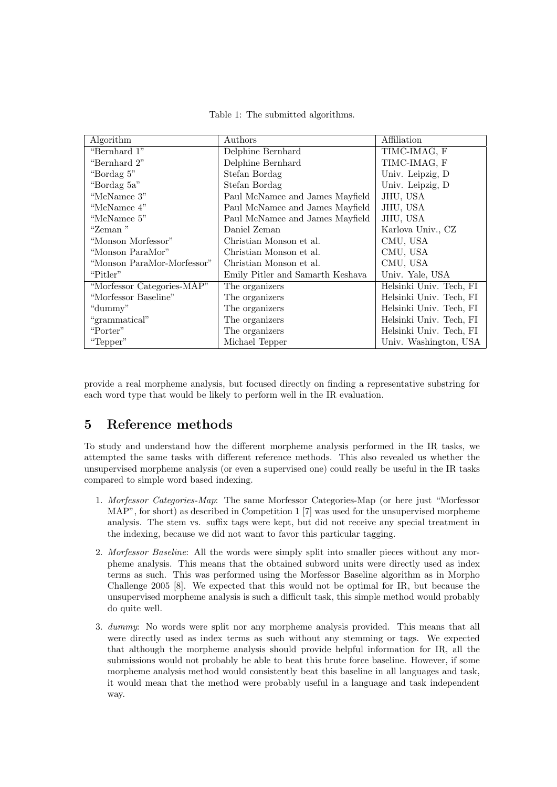Table 1: The submitted algorithms.

| Algorithm                  | Authors                          | Affiliation             |
|----------------------------|----------------------------------|-------------------------|
| "Bernhard 1"               | Delphine Bernhard                | TIMC-IMAG, F            |
| "Bernhard 2"               | Delphine Bernhard                | TIMC-IMAG, F            |
| "Bordag 5"                 | Stefan Bordag                    | Univ. Leipzig, D        |
| "Bordag 5a"                | Stefan Bordag                    | Univ. Leipzig, D        |
| "McNamee 3"                | Paul McNamee and James Mayfield  | JHU, USA                |
| "McNamee 4"                | Paul McNamee and James Mayfield  | JHU, USA                |
| "McNamee 5"                | Paul McNamee and James Mayfield  | JHU, USA                |
| "Zeman"                    | Daniel Zeman                     | Karlova Univ., CZ       |
| "Monson Morfessor"         | Christian Monson et al.          | CMU, USA                |
| "Monson ParaMor"           | Christian Monson et al.          | CMU, USA                |
| "Monson ParaMor-Morfessor" | Christian Monson et al.          | CMU, USA                |
| "Pitler"                   | Emily Pitler and Samarth Keshava | Univ. Yale, USA         |
| "Morfessor Categories-MAP" | The organizers                   | Helsinki Univ. Tech, FI |
| "Morfessor Baseline"       | The organizers                   | Helsinki Univ. Tech, FI |
| "dummy"                    | The organizers                   | Helsinki Univ. Tech, FI |
| "grammatical"              | The organizers                   | Helsinki Univ. Tech, FI |
| "Porter"                   | The organizers                   | Helsinki Univ. Tech, FI |
| "Tepper"                   | Michael Tepper                   | Univ. Washington, USA   |

provide a real morpheme analysis, but focused directly on finding a representative substring for each word type that would be likely to perform well in the IR evaluation.

# 5 Reference methods

To study and understand how the different morpheme analysis performed in the IR tasks, we attempted the same tasks with different reference methods. This also revealed us whether the unsupervised morpheme analysis (or even a supervised one) could really be useful in the IR tasks compared to simple word based indexing.

- 1. Morfessor Categories-Map: The same Morfessor Categories-Map (or here just "Morfessor MAP", for short) as described in Competition 1 [7] was used for the unsupervised morpheme analysis. The stem vs. suffix tags were kept, but did not receive any special treatment in the indexing, because we did not want to favor this particular tagging.
- 2. Morfessor Baseline: All the words were simply split into smaller pieces without any morpheme analysis. This means that the obtained subword units were directly used as index terms as such. This was performed using the Morfessor Baseline algorithm as in Morpho Challenge 2005 [8]. We expected that this would not be optimal for IR, but because the unsupervised morpheme analysis is such a difficult task, this simple method would probably do quite well.
- 3. dummy: No words were split nor any morpheme analysis provided. This means that all were directly used as index terms as such without any stemming or tags. We expected that although the morpheme analysis should provide helpful information for IR, all the submissions would not probably be able to beat this brute force baseline. However, if some morpheme analysis method would consistently beat this baseline in all languages and task, it would mean that the method were probably useful in a language and task independent way.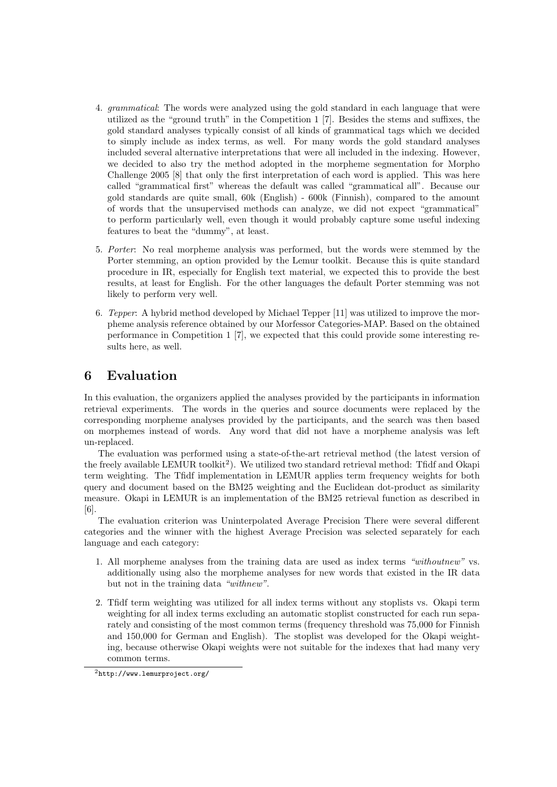- 4. grammatical: The words were analyzed using the gold standard in each language that were utilized as the "ground truth" in the Competition 1 [7]. Besides the stems and suffixes, the gold standard analyses typically consist of all kinds of grammatical tags which we decided to simply include as index terms, as well. For many words the gold standard analyses included several alternative interpretations that were all included in the indexing. However, we decided to also try the method adopted in the morpheme segmentation for Morpho Challenge 2005 [8] that only the first interpretation of each word is applied. This was here called "grammatical first" whereas the default was called "grammatical all". Because our gold standards are quite small, 60k (English) - 600k (Finnish), compared to the amount of words that the unsupervised methods can analyze, we did not expect "grammatical" to perform particularly well, even though it would probably capture some useful indexing features to beat the "dummy", at least.
- 5. Porter: No real morpheme analysis was performed, but the words were stemmed by the Porter stemming, an option provided by the Lemur toolkit. Because this is quite standard procedure in IR, especially for English text material, we expected this to provide the best results, at least for English. For the other languages the default Porter stemming was not likely to perform very well.
- 6. Tepper: A hybrid method developed by Michael Tepper [11] was utilized to improve the morpheme analysis reference obtained by our Morfessor Categories-MAP. Based on the obtained performance in Competition 1 [7], we expected that this could provide some interesting results here, as well.

# 6 Evaluation

In this evaluation, the organizers applied the analyses provided by the participants in information retrieval experiments. The words in the queries and source documents were replaced by the corresponding morpheme analyses provided by the participants, and the search was then based on morphemes instead of words. Any word that did not have a morpheme analysis was left un-replaced.

The evaluation was performed using a state-of-the-art retrieval method (the latest version of the freely available LEMUR toolkit<sup>2</sup>). We utilized two standard retrieval method: Tfidf and Okapi term weighting. The Tfidf implementation in LEMUR applies term frequency weights for both query and document based on the BM25 weighting and the Euclidean dot-product as similarity measure. Okapi in LEMUR is an implementation of the BM25 retrieval function as described in [6].

The evaluation criterion was Uninterpolated Average Precision There were several different categories and the winner with the highest Average Precision was selected separately for each language and each category:

- 1. All morpheme analyses from the training data are used as index terms "withoutnew" vs. additionally using also the morpheme analyses for new words that existed in the IR data but not in the training data "withnew".
- 2. Tfidf term weighting was utilized for all index terms without any stoplists vs. Okapi term weighting for all index terms excluding an automatic stoplist constructed for each run separately and consisting of the most common terms (frequency threshold was 75,000 for Finnish and 150,000 for German and English). The stoplist was developed for the Okapi weighting, because otherwise Okapi weights were not suitable for the indexes that had many very common terms.

<sup>2</sup>http://www.lemurproject.org/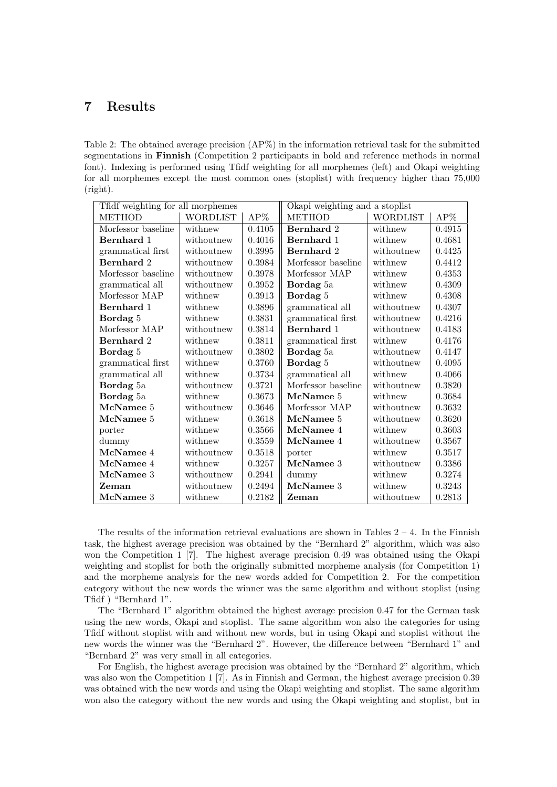# 7 Results

Table 2: The obtained average precision (AP%) in the information retrieval task for the submitted segmentations in Finnish (Competition 2 participants in bold and reference methods in normal font). Indexing is performed using Tfidf weighting for all morphemes (left) and Okapi weighting for all morphemes except the most common ones (stoplist) with frequency higher than 75,000 (right).

| Tfidf weighting for all morphemes |                 | Okapi weighting and a stoplist |                    |                 |        |
|-----------------------------------|-----------------|--------------------------------|--------------------|-----------------|--------|
| <b>METHOD</b>                     | <b>WORDLIST</b> | $AP\%$                         | <b>METHOD</b>      | <b>WORDLIST</b> | $AP\%$ |
| Morfessor baseline                | withnew         | 0.4105                         | Bernhard 2         | withnew         | 0.4915 |
| Bernhard 1                        | withoutnew      | 0.4016                         | Bernhard 1         | withnew         | 0.4681 |
| grammatical first                 | withoutnew      | 0.3995                         | Bernhard 2         | withoutnew      | 0.4425 |
| Bernhard 2                        | withoutnew      | 0.3984                         | Morfessor baseline | withnew         | 0.4412 |
| Morfessor baseline                | withoutnew      | 0.3978                         | Morfessor MAP      | withnew         | 0.4353 |
| grammatical all                   | withoutnew      | 0.3952                         | Bordag 5a          | withnew         | 0.4309 |
| Morfessor MAP                     | withnew         | 0.3913                         | Bordag 5           | withnew         | 0.4308 |
| <b>Bernhard</b> 1                 | withnew         | 0.3896                         | grammatical all    | withoutnew      | 0.4307 |
| Bordag 5                          | withnew         | 0.3831                         | grammatical first  | withoutnew      | 0.4216 |
| Morfessor MAP                     | withoutnew      | 0.3814                         | Bernhard 1         | withoutnew      | 0.4183 |
| Bernhard 2                        | withnew         | 0.3811                         | grammatical first  | withnew         | 0.4176 |
| Bordag 5                          | withoutnew      | 0.3802                         | Bordag 5a          | withoutnew      | 0.4147 |
| grammatical first                 | withnew         | 0.3760                         | Bordag 5           | withoutnew      | 0.4095 |
| grammatical all                   | withnew         | 0.3734                         | grammatical all    | withnew         | 0.4066 |
| Bordag 5a                         | withoutnew      | 0.3721                         | Morfessor baseline | withoutnew      | 0.3820 |
| Bordag 5a                         | withnew         | 0.3673                         | McNamee 5          | withnew         | 0.3684 |
| McNamee 5                         | withoutnew      | 0.3646                         | Morfessor MAP      | withoutnew      | 0.3632 |
| McNamee 5                         | withnew         | 0.3618                         | McNamee 5          | withoutnew      | 0.3620 |
| porter                            | withnew         | 0.3566                         | McNamee 4          | withnew         | 0.3603 |
| dummy                             | withnew         | 0.3559                         | McNamee 4          | withoutnew      | 0.3567 |
| McNamee 4                         | withoutnew      | 0.3518                         | porter             | withnew         | 0.3517 |
| McNamee 4                         | withnew         | 0.3257                         | McNamee 3          | withoutnew      | 0.3386 |
| McNamee 3                         | withoutnew      | 0.2941                         | dummy              | withnew         | 0.3274 |
| Zeman                             | withoutnew      | 0.2494                         | McNamee 3          | withnew         | 0.3243 |
| McNamee 3                         | withnew         | 0.2182                         | Zeman              | withoutnew      | 0.2813 |

The results of the information retrieval evaluations are shown in Tables  $2 - 4$ . In the Finnish task, the highest average precision was obtained by the "Bernhard 2" algorithm, which was also won the Competition 1 [7]. The highest average precision 0.49 was obtained using the Okapi weighting and stoplist for both the originally submitted morpheme analysis (for Competition 1) and the morpheme analysis for the new words added for Competition 2. For the competition category without the new words the winner was the same algorithm and without stoplist (using Tfidf ) "Bernhard 1".

The "Bernhard 1" algorithm obtained the highest average precision 0.47 for the German task using the new words, Okapi and stoplist. The same algorithm won also the categories for using Tfidf without stoplist with and without new words, but in using Okapi and stoplist without the new words the winner was the "Bernhard 2". However, the difference between "Bernhard 1" and "Bernhard 2" was very small in all categories.

For English, the highest average precision was obtained by the "Bernhard 2" algorithm, which was also won the Competition 1 [7]. As in Finnish and German, the highest average precision 0.39 was obtained with the new words and using the Okapi weighting and stoplist. The same algorithm won also the category without the new words and using the Okapi weighting and stoplist, but in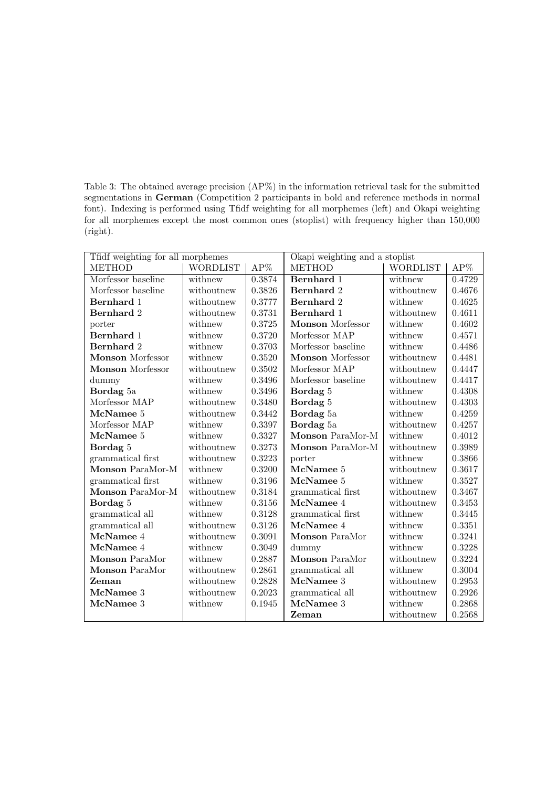Table 3: The obtained average precision (AP%) in the information retrieval task for the submitted segmentations in German (Competition 2 participants in bold and reference methods in normal font). Indexing is performed using Tfidf weighting for all morphemes (left) and Okapi weighting for all morphemes except the most common ones (stoplist) with frequency higher than  $150,000$ (right).

| Tfidf weighting for all morphemes |                 | Okapi weighting and a stoplist |                         |                 |        |
|-----------------------------------|-----------------|--------------------------------|-------------------------|-----------------|--------|
| <b>METHOD</b>                     | <b>WORDLIST</b> | $AP\%$                         | <b>METHOD</b>           | <b>WORDLIST</b> | $AP\%$ |
| Morfessor baseline                | withnew         | 0.3874                         | <b>Bernhard</b> 1       | withnew         | 0.4729 |
| Morfessor baseline                | withoutnew      | 0.3826                         | Bernhard 2              | withoutnew      | 0.4676 |
| Bernhard 1                        | withoutnew      | 0.3777                         | <b>Bernhard</b> 2       | withnew         | 0.4625 |
| <b>Bernhard 2</b>                 | withoutnew      | 0.3731                         | Bernhard 1              | withoutnew      | 0.4611 |
| porter                            | withnew         | 0.3725                         | <b>Monson</b> Morfessor | withnew         | 0.4602 |
| Bernhard 1                        | withnew         | 0.3720                         | Morfessor MAP           | withnew         | 0.4571 |
| <b>Bernhard</b> 2                 | withnew         | 0.3703                         | Morfessor baseline      | withnew         | 0.4486 |
| <b>Monson</b> Morfessor           | withnew         | 0.3520                         | <b>Monson</b> Morfessor | withoutnew      | 0.4481 |
| <b>Monson</b> Morfessor           | withoutnew      | 0.3502                         | Morfessor MAP           | withoutnew      | 0.4447 |
| dummy                             | withnew         | 0.3496                         | Morfessor baseline      | withoutnew      | 0.4417 |
| Bordag 5a                         | withnew         | 0.3496                         | Bordag 5                | withnew         | 0.4308 |
| Morfessor MAP                     | withoutnew      | 0.3480                         | Bordag 5                | withoutnew      | 0.4303 |
| McNamee 5                         | withoutnew      | 0.3442                         | Bordag 5a               | withnew         | 0.4259 |
| Morfessor MAP                     | withnew         | 0.3397                         | Bordag 5a               | withoutnew      | 0.4257 |
| McNamee 5                         | withnew         | 0.3327                         | Monson ParaMor-M        | withnew         | 0.4012 |
| Bordag 5                          | withoutnew      | 0.3273                         | Monson ParaMor-M        | withoutnew      | 0.3989 |
| grammatical first                 | withoutnew      | 0.3223                         | porter                  | withnew         | 0.3866 |
| Monson ParaMor-M                  | withnew         | 0.3200                         | McNamee 5               | withoutnew      | 0.3617 |
| grammatical first                 | withnew         | 0.3196                         | McNamee 5               | withnew         | 0.3527 |
| Monson ParaMor-M                  | withoutnew      | 0.3184                         | grammatical first       | withoutnew      | 0.3467 |
| Bordag 5                          | withnew         | 0.3156                         | McNamee 4               | withoutnew      | 0.3453 |
| grammatical all                   | withnew         | 0.3128                         | grammatical first       | withnew         | 0.3445 |
| grammatical all                   | withoutnew      | 0.3126                         | McNamee 4               | withnew         | 0.3351 |
| McNamee 4                         | withoutnew      | 0.3091                         | Monson ParaMor          | withnew         | 0.3241 |
| McNamee 4                         | withnew         | 0.3049                         | dummy                   | withnew         | 0.3228 |
| <b>Monson</b> ParaMor             | withnew         | 0.2887                         | <b>Monson ParaMor</b>   | withoutnew      | 0.3224 |
| <b>Monson ParaMor</b>             | withoutnew      | 0.2861                         | grammatical all         | withnew         | 0.3004 |
| Zeman                             | withoutnew      | 0.2828                         | McNamee 3               | withoutnew      | 0.2953 |
| McNamee 3                         | withoutnew      | 0.2023                         | grammatical all         | withoutnew      | 0.2926 |
| McNamee 3                         | withnew         | 0.1945                         | McNamee 3               | withnew         | 0.2868 |
|                                   |                 |                                | Zeman                   | withoutnew      | 0.2568 |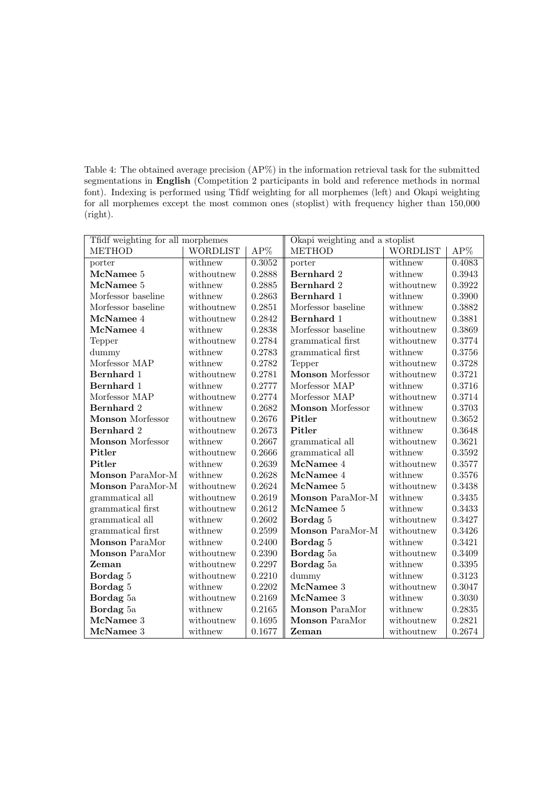Table 4: The obtained average precision (AP%) in the information retrieval task for the submitted segmentations in English (Competition 2 participants in bold and reference methods in normal font). Indexing is performed using Tfidf weighting for all morphemes (left) and Okapi weighting for all morphemes except the most common ones (stoplist) with frequency higher than 150,000 (right).

| Tfidf weighting for all morphemes |                 | Okapi weighting and a stoplist |                         |                 |        |
|-----------------------------------|-----------------|--------------------------------|-------------------------|-----------------|--------|
| <b>METHOD</b>                     | <b>WORDLIST</b> | $AP\%$                         | <b>METHOD</b>           | <b>WORDLIST</b> | $AP\%$ |
| porter                            | withnew         | 0.3052                         | porter                  | withnew         | 0.4083 |
| McNamee 5                         | withoutnew      | 0.2888                         | <b>Bernhard 2</b>       | withnew         | 0.3943 |
| McNamee 5                         | withnew         | 0.2885                         | <b>Bernhard 2</b>       | withoutnew      | 0.3922 |
| Morfessor baseline                | withnew         | 0.2863                         | Bernhard 1              | withnew         | 0.3900 |
| Morfessor baseline                | withoutnew      | 0.2851                         | Morfessor baseline      | withnew         | 0.3882 |
| McNamee 4                         | withoutnew      | 0.2842                         | Bernhard 1              | withoutnew      | 0.3881 |
| McNamee 4                         | withnew         | 0.2838                         | Morfessor baseline      | withoutnew      | 0.3869 |
| Tepper                            | withoutnew      | 0.2784                         | grammatical first       | withoutnew      | 0.3774 |
| dummy                             | withnew         | 0.2783                         | grammatical first       | withnew         | 0.3756 |
| Morfessor MAP                     | withnew         | 0.2782                         | Tepper                  | withoutnew      | 0.3728 |
| Bernhard 1                        | withoutnew      | 0.2781                         | <b>Monson</b> Morfessor | withoutnew      | 0.3721 |
| Bernhard 1                        | withnew         | 0.2777                         | Morfessor MAP           | withnew         | 0.3716 |
| Morfessor MAP                     | withoutnew      | 0.2774                         | Morfessor MAP           | withoutnew      | 0.3714 |
| Bernhard 2                        | withnew         | 0.2682                         | <b>Monson Morfessor</b> | withnew         | 0.3703 |
| <b>Monson</b> Morfessor           | withoutnew      | 0.2676                         | Pitler                  | withoutnew      | 0.3652 |
| <b>Bernhard 2</b>                 | withoutnew      | 0.2673                         | Pitler                  | withnew         | 0.3648 |
| <b>Monson</b> Morfessor           | withnew         | 0.2667                         | grammatical all         | withoutnew      | 0.3621 |
| Pitler                            | withoutnew      | 0.2666                         | grammatical all         | withnew         | 0.3592 |
| Pitler                            | withnew         | 0.2639                         | McNamee 4               | withoutnew      | 0.3577 |
| Monson ParaMor-M                  | withnew         | 0.2628                         | McNamee 4               | withnew         | 0.3576 |
| Monson ParaMor-M                  | withoutnew      | 0.2624                         | McNamee 5               | withoutnew      | 0.3438 |
| grammatical all                   | withoutnew      | 0.2619                         | Monson ParaMor-M        | withnew         | 0.3435 |
| grammatical first                 | withoutnew      | 0.2612                         | McNamee 5               | withnew         | 0.3433 |
| grammatical all                   | withnew         | 0.2602                         | Bordag 5                | withoutnew      | 0.3427 |
| grammatical first                 | withnew         | 0.2599                         | Monson ParaMor-M        | withoutnew      | 0.3426 |
| <b>Monson ParaMor</b>             | withnew         | 0.2400                         | Bordag 5                | withnew         | 0.3421 |
| <b>Monson</b> ParaMor             | withoutnew      | 0.2390                         | Bordag 5a               | withoutnew      | 0.3409 |
| Zeman                             | withoutnew      | 0.2297                         | Bordag 5a               | withnew         | 0.3395 |
| Bordag 5                          | withoutnew      | 0.2210                         | dummy                   | withnew         | 0.3123 |
| Bordag 5                          | withnew         | 0.2202                         | $McNamee$ 3             | withoutnew      | 0.3047 |
| Bordag 5a                         | withoutnew      | 0.2169                         | McNamee 3               | withnew         | 0.3030 |
| Bordag 5a                         | withnew         | 0.2165                         | <b>Monson ParaMor</b>   | withnew         | 0.2835 |
| McNamee 3                         | withoutnew      | 0.1695                         | <b>Monson ParaMor</b>   | withoutnew      | 0.2821 |
| McNamee 3                         | withnew         | 0.1677                         | Zeman                   | withoutnew      | 0.2674 |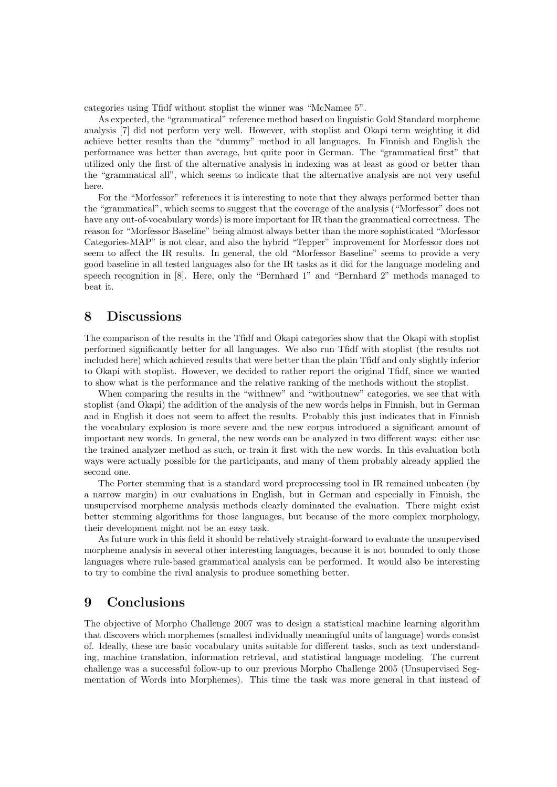categories using Tfidf without stoplist the winner was "McNamee 5".

As expected, the "grammatical" reference method based on linguistic Gold Standard morpheme analysis [7] did not perform very well. However, with stoplist and Okapi term weighting it did achieve better results than the "dummy" method in all languages. In Finnish and English the performance was better than average, but quite poor in German. The "grammatical first" that utilized only the first of the alternative analysis in indexing was at least as good or better than the "grammatical all", which seems to indicate that the alternative analysis are not very useful here.

For the "Morfessor" references it is interesting to note that they always performed better than the "grammatical", which seems to suggest that the coverage of the analysis ("Morfessor" does not have any out-of-vocabulary words) is more important for IR than the grammatical correctness. The reason for "Morfessor Baseline" being almost always better than the more sophisticated "Morfessor Categories-MAP" is not clear, and also the hybrid "Tepper" improvement for Morfessor does not seem to affect the IR results. In general, the old "Morfessor Baseline" seems to provide a very good baseline in all tested languages also for the IR tasks as it did for the language modeling and speech recognition in [8]. Here, only the "Bernhard 1" and "Bernhard 2" methods managed to beat it.

# 8 Discussions

The comparison of the results in the Tfidf and Okapi categories show that the Okapi with stoplist performed significantly better for all languages. We also run Tfidf with stoplist (the results not included here) which achieved results that were better than the plain Tfidf and only slightly inferior to Okapi with stoplist. However, we decided to rather report the original Tfidf, since we wanted to show what is the performance and the relative ranking of the methods without the stoplist.

When comparing the results in the "withnew" and "withoutnew" categories, we see that with stoplist (and Okapi) the addition of the analysis of the new words helps in Finnish, but in German and in English it does not seem to affect the results. Probably this just indicates that in Finnish the vocabulary explosion is more severe and the new corpus introduced a significant amount of important new words. In general, the new words can be analyzed in two different ways: either use the trained analyzer method as such, or train it first with the new words. In this evaluation both ways were actually possible for the participants, and many of them probably already applied the second one.

The Porter stemming that is a standard word preprocessing tool in IR remained unbeaten (by a narrow margin) in our evaluations in English, but in German and especially in Finnish, the unsupervised morpheme analysis methods clearly dominated the evaluation. There might exist better stemming algorithms for those languages, but because of the more complex morphology, their development might not be an easy task.

As future work in this field it should be relatively straight-forward to evaluate the unsupervised morpheme analysis in several other interesting languages, because it is not bounded to only those languages where rule-based grammatical analysis can be performed. It would also be interesting to try to combine the rival analysis to produce something better.

### 9 Conclusions

The objective of Morpho Challenge 2007 was to design a statistical machine learning algorithm that discovers which morphemes (smallest individually meaningful units of language) words consist of. Ideally, these are basic vocabulary units suitable for different tasks, such as text understanding, machine translation, information retrieval, and statistical language modeling. The current challenge was a successful follow-up to our previous Morpho Challenge 2005 (Unsupervised Segmentation of Words into Morphemes). This time the task was more general in that instead of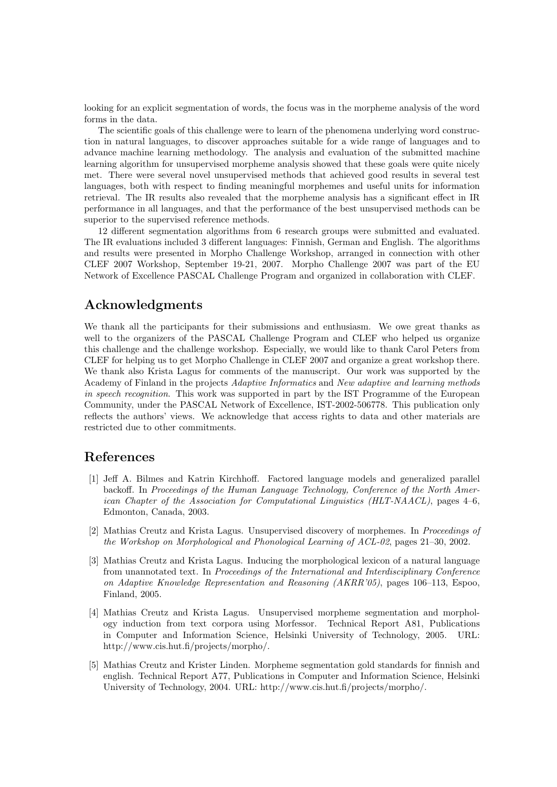looking for an explicit segmentation of words, the focus was in the morpheme analysis of the word forms in the data.

The scientific goals of this challenge were to learn of the phenomena underlying word construction in natural languages, to discover approaches suitable for a wide range of languages and to advance machine learning methodology. The analysis and evaluation of the submitted machine learning algorithm for unsupervised morpheme analysis showed that these goals were quite nicely met. There were several novel unsupervised methods that achieved good results in several test languages, both with respect to finding meaningful morphemes and useful units for information retrieval. The IR results also revealed that the morpheme analysis has a significant effect in IR performance in all languages, and that the performance of the best unsupervised methods can be superior to the supervised reference methods.

12 different segmentation algorithms from 6 research groups were submitted and evaluated. The IR evaluations included 3 different languages: Finnish, German and English. The algorithms and results were presented in Morpho Challenge Workshop, arranged in connection with other CLEF 2007 Workshop, September 19-21, 2007. Morpho Challenge 2007 was part of the EU Network of Excellence PASCAL Challenge Program and organized in collaboration with CLEF.

# Acknowledgments

We thank all the participants for their submissions and enthusiasm. We owe great thanks as well to the organizers of the PASCAL Challenge Program and CLEF who helped us organize this challenge and the challenge workshop. Especially, we would like to thank Carol Peters from CLEF for helping us to get Morpho Challenge in CLEF 2007 and organize a great workshop there. We thank also Krista Lagus for comments of the manuscript. Our work was supported by the Academy of Finland in the projects Adaptive Informatics and New adaptive and learning methods in speech recognition. This work was supported in part by the IST Programme of the European Community, under the PASCAL Network of Excellence, IST-2002-506778. This publication only reflects the authors' views. We acknowledge that access rights to data and other materials are restricted due to other commitments.

### References

- [1] Jeff A. Bilmes and Katrin Kirchhoff. Factored language models and generalized parallel backoff. In Proceedings of the Human Language Technology, Conference of the North American Chapter of the Association for Computational Linguistics (HLT-NAACL), pages 4–6, Edmonton, Canada, 2003.
- [2] Mathias Creutz and Krista Lagus. Unsupervised discovery of morphemes. In Proceedings of the Workshop on Morphological and Phonological Learning of ACL-02, pages 21–30, 2002.
- [3] Mathias Creutz and Krista Lagus. Inducing the morphological lexicon of a natural language from unannotated text. In Proceedings of the International and Interdisciplinary Conference on Adaptive Knowledge Representation and Reasoning (AKRR'05), pages 106–113, Espoo, Finland, 2005.
- [4] Mathias Creutz and Krista Lagus. Unsupervised morpheme segmentation and morphology induction from text corpora using Morfessor. Technical Report A81, Publications in Computer and Information Science, Helsinki University of Technology, 2005. URL: http://www.cis.hut.fi/projects/morpho/.
- [5] Mathias Creutz and Krister Linden. Morpheme segmentation gold standards for finnish and english. Technical Report A77, Publications in Computer and Information Science, Helsinki University of Technology, 2004. URL: http://www.cis.hut.fi/projects/morpho/.